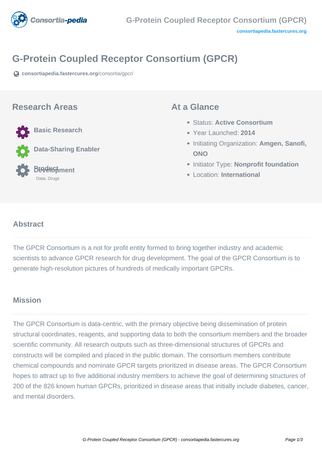

# **G-Protein Coupled Receptor Consortium (GPCR)**

**[consortiapedia.fastercures.org](https://consortiapedia.fastercures.org/consortia/gpcr/)**[/consortia/gpcr/](https://consortiapedia.fastercures.org/consortia/gpcr/)

#### **Research Areas**



**Data-Sharing Enabler**

 **Product Development** Data, Drugs

#### **At a Glance**

- Status: **Active Consortium**
- Year Launched: **2014**
- Initiating Organization: **Amgen, Sanofi, ONO**
- **Initiator Type: Nonprofit foundation**
- Location: **International**

#### $\overline{a}$ **Abstract**

The GPCR Consortium is a not for profit entity formed to bring together industry and academic scientists to advance GPCR research for drug development. The goal of the GPCR Consortium is to generate high-resolution pictures of hundreds of medically important GPCRs.

## **Mission**

The GPCR Consortium is data-centric, with the primary objective being dissemination of protein structural coordinates, reagents, and supporting data to both the consortium members and the broader scientific community. All research outputs such as three-dimensional structures of GPCRs and constructs will be compiled and placed in the public domain. The consortium members contribute chemical compounds and nominate GPCR targets prioritized in disease areas. The GPCR Consortium hopes to attract up to five additional industry members to achieve the goal of determining structures of 200 of the 826 known human GPCRs, prioritized in disease areas that initially include diabetes, cancer, and mental disorders.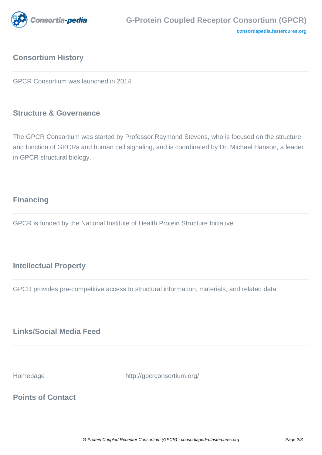

# **Consortium History**

GPCR Consortium was launched in 2014

## **Structure & Governance**

The GPCR Consortium was started by Professor Raymond Stevens, who is focused on the structure and function of GPCRs and human cell signaling, and is coordinated by Dr. Michael Hanson, a leader in GPCR structural biology.

# **Financing**

GPCR is funded by the National Institute of Health Protein Structure Initiative

## **Intellectual Property**

GPCR provides pre-competitive access to structural information, materials, and related data.

# **Links/Social Media Feed**

Homepage http://gpcrconsortium.org/

# **Points of Contact**